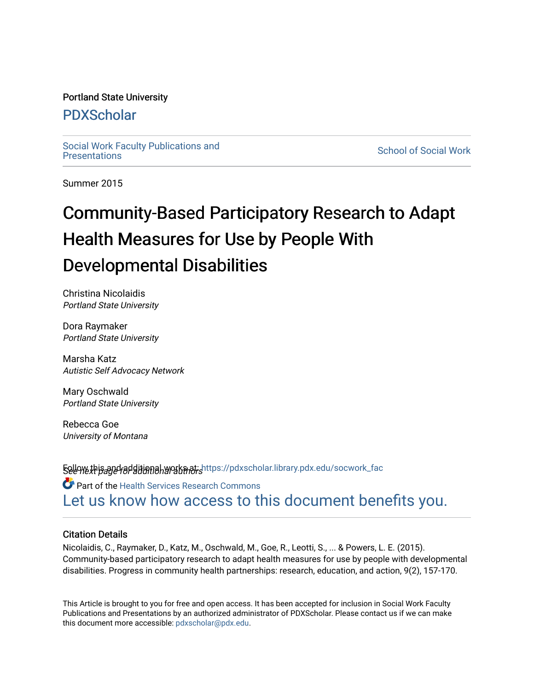# Portland State University

# [PDXScholar](https://pdxscholar.library.pdx.edu/)

Social Work Faculty Publications and<br>Presentations

**School of Social Work** 

Summer 2015

# Community-Based Participatory Research to Adapt Health Measures for Use by People With Developmental Disabilities

Christina Nicolaidis Portland State University

Dora Raymaker Portland State University

Marsha Katz Autistic Self Advocacy Network

Mary Oschwald Portland State University

Rebecca Goe University of Montana

**Follow this and additional works at: https://pdxscholar.library.pdx.edu/socwork\_fac**<br>**See next page for ditional works at: https://pdxscholar.library.pdx.edu/socwork\_fac** Part of the [Health Services Research Commons](http://network.bepress.com/hgg/discipline/816?utm_source=pdxscholar.library.pdx.edu%2Fsocwork_fac%2F130&utm_medium=PDF&utm_campaign=PDFCoverPages)  [Let us know how access to this document benefits you.](http://library.pdx.edu/services/pdxscholar-services/pdxscholar-feedback/?ref=https://pdxscholar.library.pdx.edu/socwork_fac/130) 

## Citation Details

Nicolaidis, C., Raymaker, D., Katz, M., Oschwald, M., Goe, R., Leotti, S., ... & Powers, L. E. (2015). Community-based participatory research to adapt health measures for use by people with developmental disabilities. Progress in community health partnerships: research, education, and action, 9(2), 157-170.

This Article is brought to you for free and open access. It has been accepted for inclusion in Social Work Faculty Publications and Presentations by an authorized administrator of PDXScholar. Please contact us if we can make this document more accessible: [pdxscholar@pdx.edu.](mailto:pdxscholar@pdx.edu)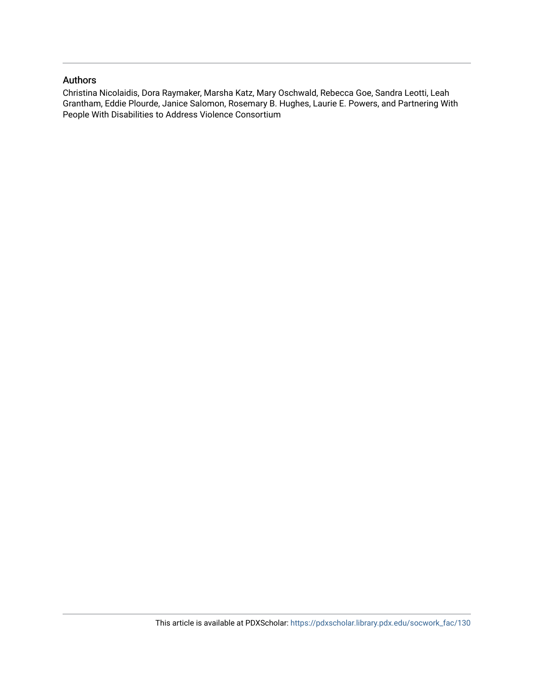## Authors

Christina Nicolaidis, Dora Raymaker, Marsha Katz, Mary Oschwald, Rebecca Goe, Sandra Leotti, Leah Grantham, Eddie Plourde, Janice Salomon, Rosemary B. Hughes, Laurie E. Powers, and Partnering With People With Disabilities to Address Violence Consortium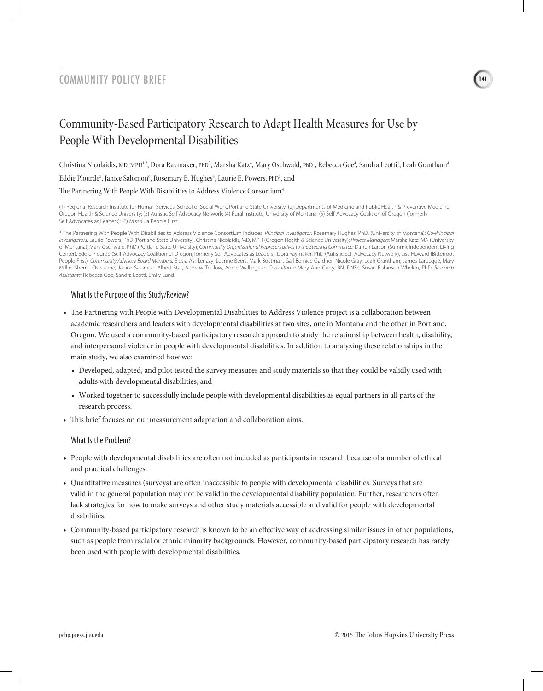# Community policy Brief



# Community-Based Participatory Research to Adapt Health Measures for Use by People With Developmental Disabilities

Christina Nicolaidis, MD, MPH<sup>1.2</sup>, Dora Raymaker, PhD<sup>3</sup>, Marsha Katz<sup>4</sup>, Mary Oschwald, PhD<sup>1</sup>, Rebecca Goe<sup>4</sup>, Sandra Leotti<sup>1</sup>, Leah Grantham<sup>4</sup>,

Eddie Plourde<sup>5</sup>, Janice Salomon<sup>6</sup>, Rosemary B. Hughes<sup>4</sup>, Laurie E. Powers, PhD<sup>1</sup>, and

#### The Partnering With People With Disabilities to Address Violence Consortium\*

(1) Regional Research Institute for Human Services, School of Social Work, Portland State University; (2) Departments of Medicine and Public Health & Preventive Medicine, Oregon Health & Science University; (3) Autistic Self Advocacy Network; (4) Rural Institute, University of Montana; (5) Self-Advocacy Coalition of Oregon (formerly Self Advocates as Leaders); (6) Missoula People First

\* The Partnering With People With Disabilities to Address Violence Consortium includes: *Principal Investigator:* Rosemary Hughes, PhD, (University of Montana); *Co-Principal Investigators:* Laurie Powers, PhD (Portland State University), Christina Nicolaidis, MD, MPH (Oregon Health & Science University); *Project Managers:* Marsha Katz, MA (University of Montana), Mary Oschwald, PhD (Portland State University); *Community Organizational Representatives to the Steering Committee:* Darren Larson (Summit Independent Living Center), Eddie Plourde (Self-Advocacy Coalition of Oregon, formerly Self Advocates as Leaders), Dora Raymaker, PhD (Autistic Self Advocacy Network), Lisa Howard (Bitterroot People First); Community Advisory Board Members: Elesia Ashkenazy, Leanne Beers, Mark Boatman, Gail Bernice Gardner, Nicole Gray, Leah Grantham, James Larocque, Mary Millin, Sherrie Osbourne, Janice Salomon, Albert Star, Andrew Tedlow, Annie Wallington; *Consultants:* Mary Ann Curry, RN, DNSc, Susan Robinson-Whelen, PhD; *Research Assistants:* Rebecca Goe, Sandra Leotti, Emily Lund.

#### What Is the Purpose of this Study/Review?

- • The Partnering with People with Developmental Disabilities to Address Violence project is a collaboration between academic researchers and leaders with developmental disabilities at two sites, one in Montana and the other in Portland, Oregon. We used a community-based participatory research approach to study the relationship between health, disability, and interpersonal violence in people with developmental disabilities. In addition to analyzing these relationships in the main study, we also examined how we:
	- • Developed, adapted, and pilot tested the survey measures and study materials so that they could be validly used with adults with developmental disabilities; and
	- • Worked together to successfully include people with developmental disabilities as equal partners in all parts of the research process.
- This brief focuses on our measurement adaptation and collaboration aims.

#### What Is the Problem?

- • People with developmental disabilities are often not included as participants in research because of a number of ethical and practical challenges.
- • Quantitative measures (surveys) are often inaccessible to people with developmental disabilities. Surveys that are valid in the general population may not be valid in the developmental disability population. Further, researchers often lack strategies for how to make surveys and other study materials accessible and valid for people with developmental disabilities.
- • Community-based participatory research is known to be an effective way of addressing similar issues in other populations, such as people from racial or ethnic minority backgrounds. However, community-based participatory research has rarely been used with people with developmental disabilities.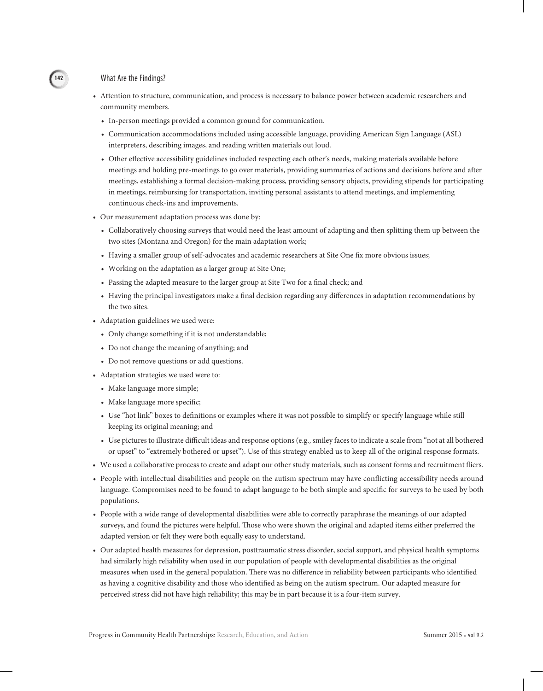#### What Are the Findings?

- • Attention to structure, communication, and process is necessary to balance power between academic researchers and community members.
	- • In-person meetings provided a common ground for communication.
	- • Communication accommodations included using accessible language, providing American Sign Language (ASL) interpreters, describing images, and reading written materials out loud.
	- • Other effective accessibility guidelines included respecting each other's needs, making materials available before meetings and holding pre-meetings to go over materials, providing summaries of actions and decisions before and after meetings, establishing a formal decision-making process, providing sensory objects, providing stipends for participating in meetings, reimbursing for transportation, inviting personal assistants to attend meetings, and implementing continuous check-ins and improvements.
- Our measurement adaptation process was done by:
	- • Collaboratively choosing surveys that would need the least amount of adapting and then splitting them up between the two sites (Montana and Oregon) for the main adaptation work;
	- Having a smaller group of self-advocates and academic researchers at Site One fix more obvious issues;
	- • Working on the adaptation as a larger group at Site One;
	- • Passing the adapted measure to the larger group at Site Two for a final check; and
	- • Having the principal investigators make a final decision regarding any differences in adaptation recommendations by the two sites.
- Adaptation guidelines we used were:
	- Only change something if it is not understandable;
	- • Do not change the meaning of anything; and
	- Do not remove questions or add questions.
- Adaptation strategies we used were to:
	- Make language more simple;
	- Make language more specific;
	- • Use "hot link" boxes to definitions or examples where it was not possible to simplify or specify language while still keeping its original meaning; and
	- • Use pictures to illustrate difficult ideas and response options (e.g., smiley faces to indicate a scale from "not at all bothered or upset" to "extremely bothered or upset"). Use of this strategy enabled us to keep all of the original response formats.
- • We used a collaborative process to create and adapt our other study materials, such as consent forms and recruitment fliers.
- • People with intellectual disabilities and people on the autism spectrum may have conflicting accessibility needs around language. Compromises need to be found to adapt language to be both simple and specific for surveys to be used by both populations.
- • People with a wide range of developmental disabilities were able to correctly paraphrase the meanings of our adapted surveys, and found the pictures were helpful. Those who were shown the original and adapted items either preferred the adapted version or felt they were both equally easy to understand.
- • Our adapted health measures for depression, posttraumatic stress disorder, social support, and physical health symptoms had similarly high reliability when used in our population of people with developmental disabilities as the original measures when used in the general population. There was no difference in reliability between participants who identified as having a cognitive disability and those who identified as being on the autism spectrum. Our adapted measure for perceived stress did not have high reliability; this may be in part because it is a four-item survey.